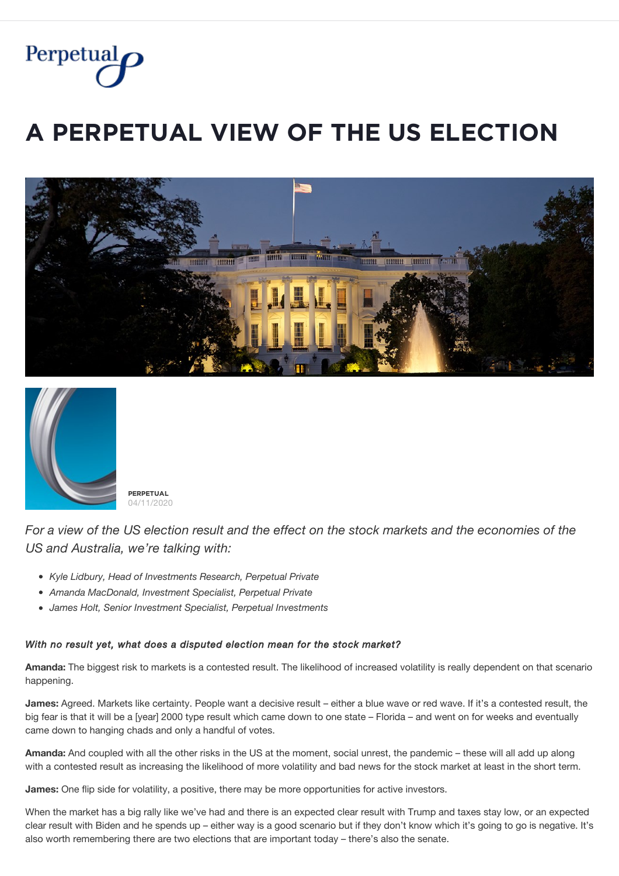

# $\overline{A}$  PERPETUAL VIEW OF THE US ELECTION





**PĚŘPĚȚŲǺĿ** 04/11/2020

*For a view of the US election result and the effect on the stock markets and the economies of the US and Australia, we're talking with:*

- *Kyle Lidbury, Head of Investments Research, Perpetual Private*
- *Amanda MacDonald, Investment Specialist, Perpetual Private*
- *James Holt, Senior Investment Specialist, Perpetual Investments*

#### *With no result yet, what does a disputed election mean for the stock market?*

**Amanda:** The biggest risk to markets is a contested result. The likelihood of increased volatility is really dependent on that scenario happening.

**James:** Agreed. Markets like certainty. People want a decisive result – either a blue wave or red wave. If it's a contested result, the big fear is that it will be a [year] 2000 type result which came down to one state – Florida – and went on for weeks and eventually came down to hanging chads and only a handful of votes.

**Amanda:** And coupled with all the other risks in the US at the moment, social unrest, the pandemic – these will all add up along with a contested result as increasing the likelihood of more volatility and bad news for the stock market at least in the short term.

**James:** One flip side for volatility, a positive, there may be more opportunities for active investors.

When the market has a big rally like we've had and there is an expected clear result with Trump and taxes stay low, or an expected clear result with Biden and he spends up – either way is a good scenario but if they don't know which it's going to go is negative. It's also worth remembering there are two elections that are important today – there's also the senate.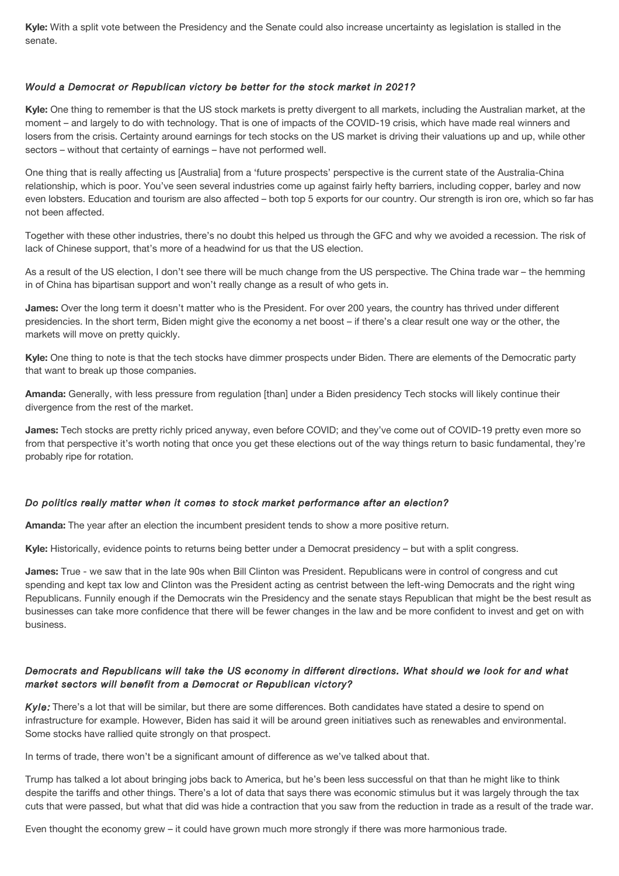**Kyle:** With a split vote between the Presidency and the Senate could also increase uncertainty as legislation is stalled in the senate.

#### *Would a Democrat or Republican victory be better for the stock market in 2021?*

**Kyle:** One thing to remember is that the US stock markets is pretty divergent to all markets, including the Australian market, at the moment – and largely to do with technology. That is one of impacts of the COVID-19 crisis, which have made real winners and losers from the crisis. Certainty around earnings for tech stocks on the US market is driving their valuations up and up, while other sectors – without that certainty of earnings – have not performed well.

One thing that is really affecting us [Australia] from a 'future prospects' perspective is the current state of the Australia-China relationship, which is poor. You've seen several industries come up against fairly hefty barriers, including copper, barley and now even lobsters. Education and tourism are also affected – both top 5 exports for our country. Our strength is iron ore, which so far has not been affected.

Together with these other industries, there's no doubt this helped us through the GFC and why we avoided a recession. The risk of lack of Chinese support, that's more of a headwind for us that the US election.

As a result of the US election, I don't see there will be much change from the US perspective. The China trade war – the hemming in of China has bipartisan support and won't really change as a result of who gets in.

**James:** Over the long term it doesn't matter who is the President. For over 200 years, the country has thrived under different presidencies. In the short term, Biden might give the economy a net boost – if there's a clear result one way or the other, the markets will move on pretty quickly.

**Kyle:** One thing to note is that the tech stocks have dimmer prospects under Biden. There are elements of the Democratic party that want to break up those companies.

**Amanda:** Generally, with less pressure from regulation [than] under a Biden presidency Tech stocks will likely continue their divergence from the rest of the market.

**James:** Tech stocks are pretty richly priced anyway, even before COVID; and they've come out of COVID-19 pretty even more so from that perspective it's worth noting that once you get these elections out of the way things return to basic fundamental, they're probably ripe for rotation.

#### *Do politics really matter when it comes to stock market performance after an election?*

**Amanda:** The year after an election the incumbent president tends to show a more positive return.

**Kyle:** Historically, evidence points to returns being better under a Democrat presidency – but with a split congress.

**James:** True - we saw that in the late 90s when Bill Clinton was President. Republicans were in control of congress and cut spending and kept tax low and Clinton was the President acting as centrist between the left-wing Democrats and the right wing Republicans. Funnily enough if the Democrats win the Presidency and the senate stays Republican that might be the best result as businesses can take more confidence that there will be fewer changes in the law and be more confident to invest and get on with business.

## *Democrats and Republicans will take the US economy in different directions. What should we look for and what market sectors will benefit from a Democrat or Republican victory?*

*Kyle:* There's a lot that will be similar, but there are some differences. Both candidates have stated a desire to spend on infrastructure for example. However, Biden has said it will be around green initiatives such as renewables and environmental. Some stocks have rallied quite strongly on that prospect.

In terms of trade, there won't be a significant amount of difference as we've talked about that.

Trump has talked a lot about bringing jobs back to America, but he's been less successful on that than he might like to think despite the tariffs and other things. There's a lot of data that says there was economic stimulus but it was largely through the tax cuts that were passed, but what that did was hide a contraction that you saw from the reduction in trade as a result of the trade war.

Even thought the economy grew – it could have grown much more strongly if there was more harmonious trade.